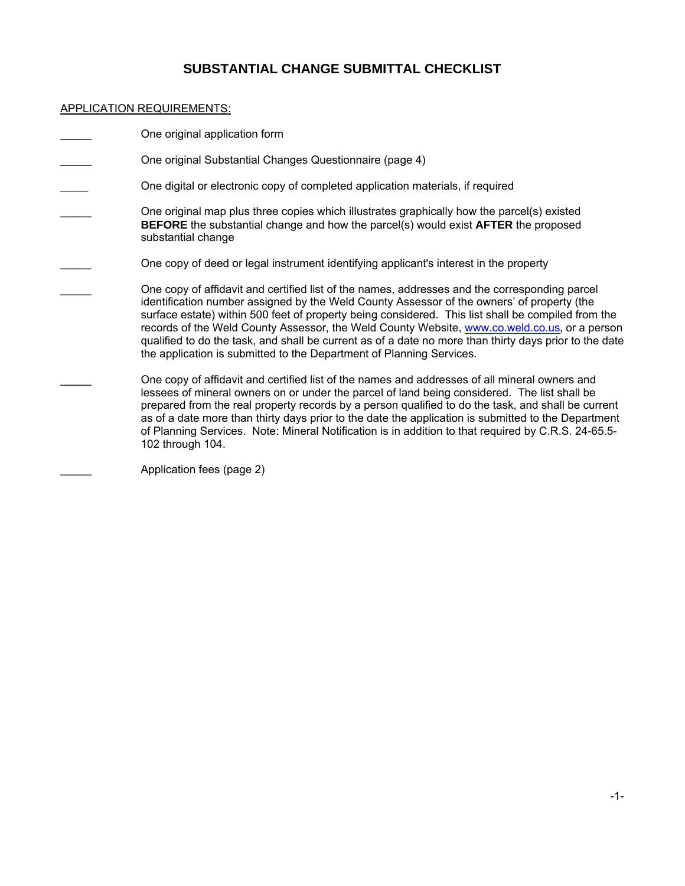# **SUBSTANTIAL CHANGE SUBMITTAL CHECKLIST**

### APPLICATION REQUIREMENTS:

| One original application form                                                                                                                                                                                                                                                                                                                                                                                                                                                                                                                                                       |
|-------------------------------------------------------------------------------------------------------------------------------------------------------------------------------------------------------------------------------------------------------------------------------------------------------------------------------------------------------------------------------------------------------------------------------------------------------------------------------------------------------------------------------------------------------------------------------------|
| One original Substantial Changes Questionnaire (page 4)                                                                                                                                                                                                                                                                                                                                                                                                                                                                                                                             |
| One digital or electronic copy of completed application materials, if required                                                                                                                                                                                                                                                                                                                                                                                                                                                                                                      |
| One original map plus three copies which illustrates graphically how the parcel(s) existed<br><b>BEFORE</b> the substantial change and how the parcel(s) would exist <b>AFTER</b> the proposed<br>substantial change                                                                                                                                                                                                                                                                                                                                                                |
| One copy of deed or legal instrument identifying applicant's interest in the property                                                                                                                                                                                                                                                                                                                                                                                                                                                                                               |
| One copy of affidavit and certified list of the names, addresses and the corresponding parcel<br>identification number assigned by the Weld County Assessor of the owners' of property (the<br>surface estate) within 500 feet of property being considered. This list shall be compiled from the<br>records of the Weld County Assessor, the Weld County Website, www.co.weld.co.us, or a person<br>qualified to do the task, and shall be current as of a date no more than thirty days prior to the date<br>the application is submitted to the Department of Planning Services. |
| One copy of affidavit and certified list of the names and addresses of all mineral owners and<br>lessees of mineral owners on or under the parcel of land being considered. The list shall be<br>prepared from the real property records by a person qualified to do the task, and shall be current<br>as of a date more than thirty days prior to the date the application is submitted to the Department<br>of Planning Services. Note: Mineral Notification is in addition to that required by C.R.S. 24-65.5-<br>102 through 104.                                               |
|                                                                                                                                                                                                                                                                                                                                                                                                                                                                                                                                                                                     |

\_\_\_\_\_ Application fees (page 2)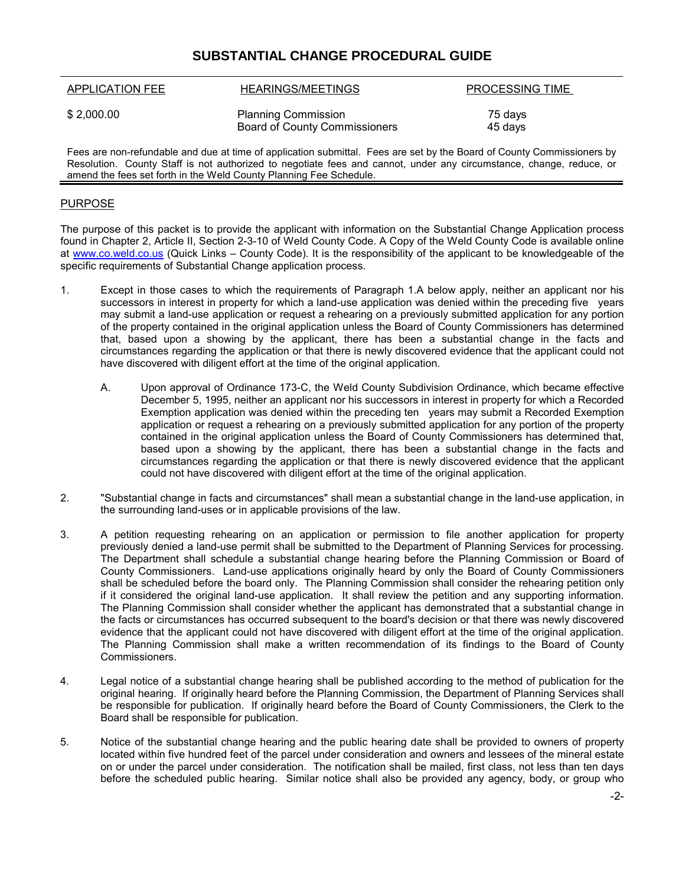## **SUBSTANTIAL CHANGE PROCEDURAL GUIDE**

| <b>APPLICATION FEE</b> | HEARINGS/MEETINGS                                                  | PROCESSING TIME    |
|------------------------|--------------------------------------------------------------------|--------------------|
| \$2,000.00             | <b>Planning Commission</b><br><b>Board of County Commissioners</b> | 75 days<br>45 days |
|                        |                                                                    |                    |

Fees are non-refundable and due at time of application submittal. Fees are set by the Board of County Commissioners by Resolution. County Staff is not authorized to negotiate fees and cannot, under any circumstance, change, reduce, or amend the fees set forth in the Weld County Planning Fee Schedule.

### PURPOSE

The purpose of this packet is to provide the applicant with information on the Substantial Change Application process found in Chapter 2, Article II, Section 2-3-10 of Weld County Code. A Copy of the Weld County Code is available online at [www.co.weld.co.us](http://www.co.weld.co.us/) (Quick Links – County Code). It is the responsibility of the applicant to be knowledgeable of the specific requirements of Substantial Change application process.

- 1. Except in those cases to which the requirements of Paragraph 1.A below apply, neither an applicant nor his successors in interest in property for which a land-use application was denied within the preceding five years may submit a land-use application or request a rehearing on a previously submitted application for any portion of the property contained in the original application unless the Board of County Commissioners has determined that, based upon a showing by the applicant, there has been a substantial change in the facts and circumstances regarding the application or that there is newly discovered evidence that the applicant could not have discovered with diligent effort at the time of the original application.
	- A. Upon approval of Ordinance 173-C, the Weld County Subdivision Ordinance, which became effective December 5, 1995, neither an applicant nor his successors in interest in property for which a Recorded Exemption application was denied within the preceding ten years may submit a Recorded Exemption application or request a rehearing on a previously submitted application for any portion of the property contained in the original application unless the Board of County Commissioners has determined that, based upon a showing by the applicant, there has been a substantial change in the facts and circumstances regarding the application or that there is newly discovered evidence that the applicant could not have discovered with diligent effort at the time of the original application.
- 2. "Substantial change in facts and circumstances" shall mean a substantial change in the land-use application, in the surrounding land-uses or in applicable provisions of the law.
- 3. A petition requesting rehearing on an application or permission to file another application for property previously denied a land-use permit shall be submitted to the Department of Planning Services for processing. The Department shall schedule a substantial change hearing before the Planning Commission or Board of County Commissioners. Land-use applications originally heard by only the Board of County Commissioners shall be scheduled before the board only. The Planning Commission shall consider the rehearing petition only if it considered the original land-use application. It shall review the petition and any supporting information. The Planning Commission shall consider whether the applicant has demonstrated that a substantial change in the facts or circumstances has occurred subsequent to the board's decision or that there was newly discovered evidence that the applicant could not have discovered with diligent effort at the time of the original application. The Planning Commission shall make a written recommendation of its findings to the Board of County Commissioners.
- 4. Legal notice of a substantial change hearing shall be published according to the method of publication for the original hearing. If originally heard before the Planning Commission, the Department of Planning Services shall be responsible for publication. If originally heard before the Board of County Commissioners, the Clerk to the Board shall be responsible for publication.
- 5. Notice of the substantial change hearing and the public hearing date shall be provided to owners of property located within five hundred feet of the parcel under consideration and owners and lessees of the mineral estate on or under the parcel under consideration. The notification shall be mailed, first class, not less than ten days before the scheduled public hearing. Similar notice shall also be provided any agency, body, or group who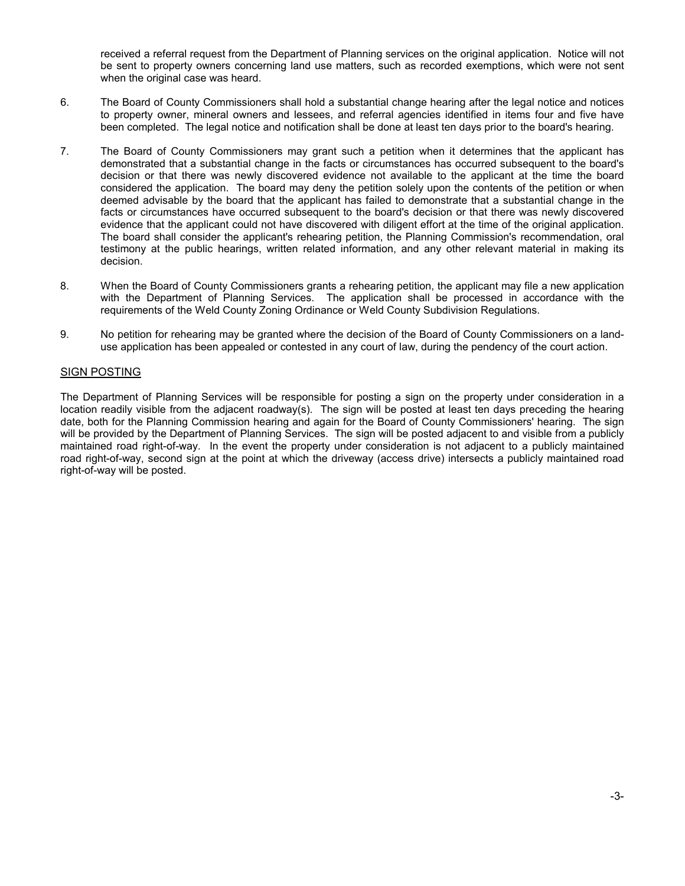received a referral request from the Department of Planning services on the original application. Notice will not be sent to property owners concerning land use matters, such as recorded exemptions, which were not sent when the original case was heard.

- 6. The Board of County Commissioners shall hold a substantial change hearing after the legal notice and notices to property owner, mineral owners and lessees, and referral agencies identified in items four and five have been completed. The legal notice and notification shall be done at least ten days prior to the board's hearing.
- 7. The Board of County Commissioners may grant such a petition when it determines that the applicant has demonstrated that a substantial change in the facts or circumstances has occurred subsequent to the board's decision or that there was newly discovered evidence not available to the applicant at the time the board considered the application. The board may deny the petition solely upon the contents of the petition or when deemed advisable by the board that the applicant has failed to demonstrate that a substantial change in the facts or circumstances have occurred subsequent to the board's decision or that there was newly discovered evidence that the applicant could not have discovered with diligent effort at the time of the original application. The board shall consider the applicant's rehearing petition, the Planning Commission's recommendation, oral testimony at the public hearings, written related information, and any other relevant material in making its decision.
- 8. When the Board of County Commissioners grants a rehearing petition, the applicant may file a new application with the Department of Planning Services. The application shall be processed in accordance with the requirements of the Weld County Zoning Ordinance or Weld County Subdivision Regulations.
- 9. No petition for rehearing may be granted where the decision of the Board of County Commissioners on a landuse application has been appealed or contested in any court of law, during the pendency of the court action.

### SIGN POSTING

The Department of Planning Services will be responsible for posting a sign on the property under consideration in a location readily visible from the adjacent roadway(s). The sign will be posted at least ten days preceding the hearing date, both for the Planning Commission hearing and again for the Board of County Commissioners' hearing. The sign will be provided by the Department of Planning Services. The sign will be posted adjacent to and visible from a publicly maintained road right-of-way. In the event the property under consideration is not adjacent to a publicly maintained road right-of-way, second sign at the point at which the driveway (access drive) intersects a publicly maintained road right-of-way will be posted.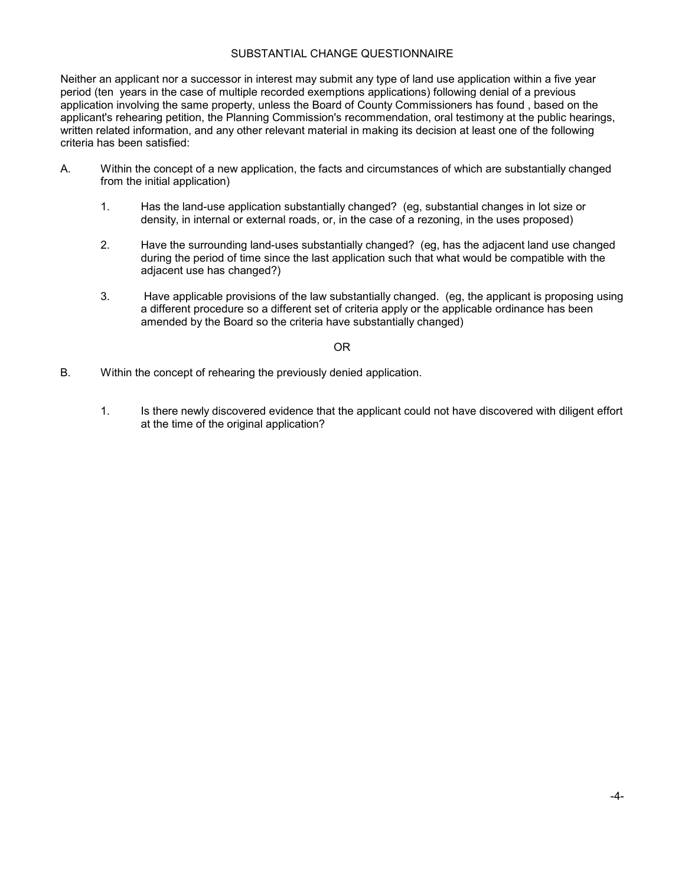#### SUBSTANTIAL CHANGE QUESTIONNAIRE

Neither an applicant nor a successor in interest may submit any type of land use application within a five year period (ten years in the case of multiple recorded exemptions applications) following denial of a previous application involving the same property, unless the Board of County Commissioners has found , based on the applicant's rehearing petition, the Planning Commission's recommendation, oral testimony at the public hearings, written related information, and any other relevant material in making its decision at least one of the following criteria has been satisfied:

- A. Within the concept of a new application, the facts and circumstances of which are substantially changed from the initial application)
	- 1. Has the land-use application substantially changed? (eg, substantial changes in lot size or density, in internal or external roads, or, in the case of a rezoning, in the uses proposed)
	- 2. Have the surrounding land-uses substantially changed? (eg, has the adjacent land use changed during the period of time since the last application such that what would be compatible with the adjacent use has changed?)
	- 3. Have applicable provisions of the law substantially changed. (eg, the applicant is proposing using a different procedure so a different set of criteria apply or the applicable ordinance has been amended by the Board so the criteria have substantially changed)

#### OR

- B. Within the concept of rehearing the previously denied application.
	- 1. Is there newly discovered evidence that the applicant could not have discovered with diligent effort at the time of the original application?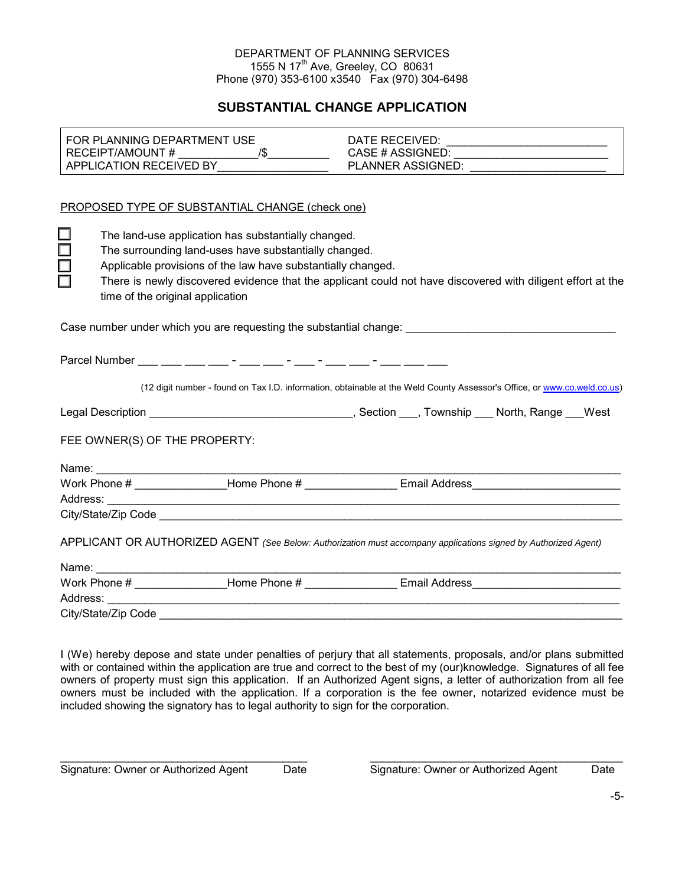#### DEPARTMENT OF PLANNING SERVICES 1555 N 17<sup>th</sup> Ave, Greeley, CO 80631 Phone (970) 353-6100 x3540 Fax (970) 304-6498

# **SUBSTANTIAL CHANGE APPLICATION**

| FOR PLANNING DEPARTMENT USE                                                      |                                                                                                                          |  |  |  |  |  |
|----------------------------------------------------------------------------------|--------------------------------------------------------------------------------------------------------------------------|--|--|--|--|--|
|                                                                                  |                                                                                                                          |  |  |  |  |  |
|                                                                                  | PLANNER ASSIGNED: __________________________                                                                             |  |  |  |  |  |
|                                                                                  |                                                                                                                          |  |  |  |  |  |
| PROPOSED TYPE OF SUBSTANTIAL CHANGE (check one)                                  |                                                                                                                          |  |  |  |  |  |
| The land-use application has substantially changed.                              |                                                                                                                          |  |  |  |  |  |
| $\Box$                                                                           | The surrounding land-uses have substantially changed.                                                                    |  |  |  |  |  |
|                                                                                  | Applicable provisions of the law have substantially changed.                                                             |  |  |  |  |  |
| $\Box$                                                                           | There is newly discovered evidence that the applicant could not have discovered with diligent effort at the              |  |  |  |  |  |
| time of the original application                                                 |                                                                                                                          |  |  |  |  |  |
|                                                                                  |                                                                                                                          |  |  |  |  |  |
|                                                                                  | Case number under which you are requesting the substantial change:                                                       |  |  |  |  |  |
|                                                                                  |                                                                                                                          |  |  |  |  |  |
| Parcel Number ___ ___ ___ ___ - ___ - ___ - ___ - ___ - ___ - ___ - ___ - ___ __ |                                                                                                                          |  |  |  |  |  |
|                                                                                  |                                                                                                                          |  |  |  |  |  |
|                                                                                  | (12 digit number - found on Tax I.D. information, obtainable at the Weld County Assessor's Office, or www.co.weld.co.us) |  |  |  |  |  |
|                                                                                  |                                                                                                                          |  |  |  |  |  |
|                                                                                  |                                                                                                                          |  |  |  |  |  |
| FEE OWNER(S) OF THE PROPERTY:                                                    |                                                                                                                          |  |  |  |  |  |
|                                                                                  |                                                                                                                          |  |  |  |  |  |
|                                                                                  |                                                                                                                          |  |  |  |  |  |
|                                                                                  |                                                                                                                          |  |  |  |  |  |
|                                                                                  |                                                                                                                          |  |  |  |  |  |
|                                                                                  |                                                                                                                          |  |  |  |  |  |
|                                                                                  | APPLICANT OR AUTHORIZED AGENT (See Below: Authorization must accompany applications signed by Authorized Agent)          |  |  |  |  |  |
|                                                                                  |                                                                                                                          |  |  |  |  |  |
|                                                                                  | Work Phone # _________________Home Phone # ______________________Email Address                                           |  |  |  |  |  |
|                                                                                  |                                                                                                                          |  |  |  |  |  |
| City/State/Zip Code                                                              |                                                                                                                          |  |  |  |  |  |

I (We) hereby depose and state under penalties of perjury that all statements, proposals, and/or plans submitted with or contained within the application are true and correct to the best of my (our)knowledge. Signatures of all fee owners of property must sign this application. If an Authorized Agent signs, a letter of authorization from all fee owners must be included with the application. If a corporation is the fee owner, notarized evidence must be included showing the signatory has to legal authority to sign for the corporation.

 $\frac{1}{2}$  , the state of the state of the state of the state of the state of the state of the state of the state of the state of the state of the state of the state of the state of the state of the state of the state of t